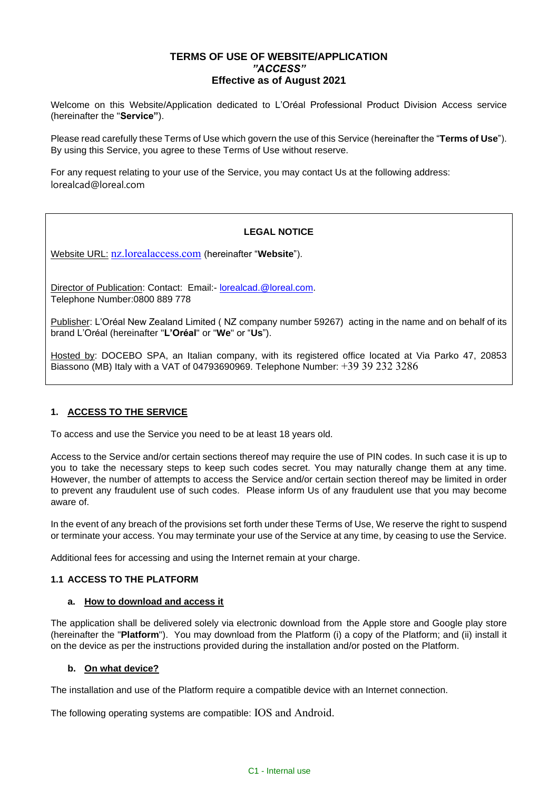# **TERMS OF USE OF WEBSITE/APPLICATION** *"ACCESS"* **Effective as of August 2021**

Welcome on this Website/Application dedicated to L'Oréal Professional Product Division Access service (hereinafter the "**Service"**).

Please read carefully these Terms of Use which govern the use of this Service (hereinafter the "**Terms of Use**"). By using this Service, you agree to these Terms of Use without reserve.

For any request relating to your use of the Service, you may contact Us at the following address: lorealcad@loreal.com

# **LEGAL NOTICE**

Website URL: [nz.lorealaccess.com](https://nz.lorealaccess.com/) (hereinafter "**Website**").

Director of Publication: Contact: Email:- [lorealcad.@loreal.com.](mailto:lorealcad.@loreal.com) Telephone Number:0800 889 778

Publisher: L'Oréal New Zealand Limited ( NZ company number 59267) acting in the name and on behalf of its brand L'Oréal (hereinafter "**L'Oréal**" or "**We**" or "**Us**").

Hosted by: DOCEBO SPA, an Italian company, with its registered office located at Via Parko 47, 20853 Biassono (MB) Italy with a VAT of 04793690969. Telephone Number:  $+39$  39 232 3286

## **1. ACCESS TO THE SERVICE**

To access and use the Service you need to be at least 18 years old.

Access to the Service and/or certain sections thereof may require the use of PIN codes. In such case it is up to you to take the necessary steps to keep such codes secret. You may naturally change them at any time. However, the number of attempts to access the Service and/or certain section thereof may be limited in order to prevent any fraudulent use of such codes. Please inform Us of any fraudulent use that you may become aware of.

In the event of any breach of the provisions set forth under these Terms of Use, We reserve the right to suspend or terminate your access. You may terminate your use of the Service at any time, by ceasing to use the Service.

Additional fees for accessing and using the Internet remain at your charge.

## **1.1 ACCESS TO THE PLATFORM**

### **a. How to download and access it**

The application shall be delivered solely via electronic download from the Apple store and Google play store (hereinafter the "**Platform**"). You may download from the Platform (i) a copy of the Platform; and (ii) install it on the device as per the instructions provided during the installation and/or posted on the Platform.

### **b. On what device?**

The installation and use of the Platform require a compatible device with an Internet connection.

The following operating systems are compatible: IOS and Android.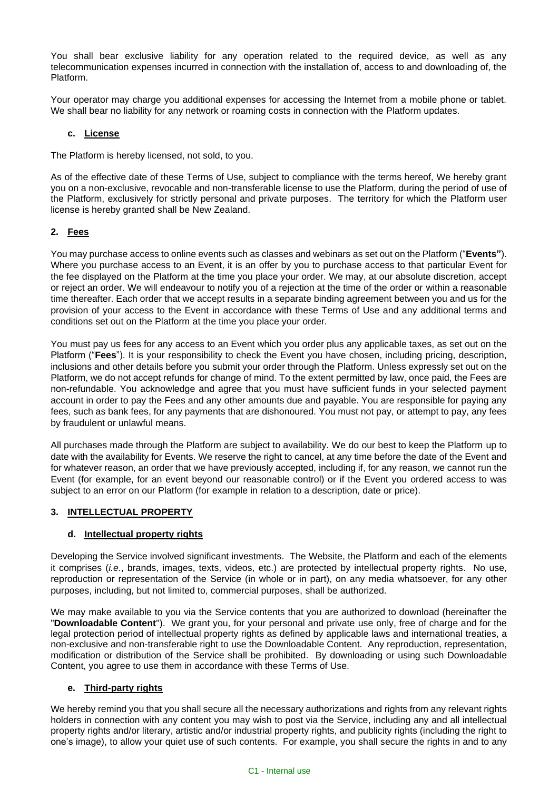You shall bear exclusive liability for any operation related to the required device, as well as any telecommunication expenses incurred in connection with the installation of, access to and downloading of, the Platform.

Your operator may charge you additional expenses for accessing the Internet from a mobile phone or tablet. We shall bear no liability for any network or roaming costs in connection with the Platform updates.

### **c. License**

The Platform is hereby licensed, not sold, to you.

As of the effective date of these Terms of Use, subject to compliance with the terms hereof, We hereby grant you on a non-exclusive, revocable and non-transferable license to use the Platform, during the period of use of the Platform, exclusively for strictly personal and private purposes. The territory for which the Platform user license is hereby granted shall be New Zealand.

## **2. Fees**

You may purchase access to online events such as classes and webinars as set out on the Platform ("**Events"**). Where you purchase access to an Event, it is an offer by you to purchase access to that particular Event for the fee displayed on the Platform at the time you place your order. We may, at our absolute discretion, accept or reject an order. We will endeavour to notify you of a rejection at the time of the order or within a reasonable time thereafter. Each order that we accept results in a separate binding agreement between you and us for the provision of your access to the Event in accordance with these Terms of Use and any additional terms and conditions set out on the Platform at the time you place your order.

You must pay us fees for any access to an Event which you order plus any applicable taxes, as set out on the Platform ("**Fees**"). It is your responsibility to check the Event you have chosen, including pricing, description, inclusions and other details before you submit your order through the Platform. Unless expressly set out on the Platform, we do not accept refunds for change of mind. To the extent permitted by law, once paid, the Fees are non-refundable. You acknowledge and agree that you must have sufficient funds in your selected payment account in order to pay the Fees and any other amounts due and payable. You are responsible for paying any fees, such as bank fees, for any payments that are dishonoured. You must not pay, or attempt to pay, any fees by fraudulent or unlawful means.

All purchases made through the Platform are subject to availability. We do our best to keep the Platform up to date with the availability for Events. We reserve the right to cancel, at any time before the date of the Event and for whatever reason, an order that we have previously accepted, including if, for any reason, we cannot run the Event (for example, for an event beyond our reasonable control) or if the Event you ordered access to was subject to an error on our Platform (for example in relation to a description, date or price).

## **3. INTELLECTUAL PROPERTY**

## **d. Intellectual property rights**

Developing the Service involved significant investments. The Website, the Platform and each of the elements it comprises (*i.e*., brands, images, texts, videos, etc.) are protected by intellectual property rights. No use, reproduction or representation of the Service (in whole or in part), on any media whatsoever, for any other purposes, including, but not limited to, commercial purposes, shall be authorized.

We may make available to you via the Service contents that you are authorized to download (hereinafter the "**Downloadable Content**"). We grant you, for your personal and private use only, free of charge and for the legal protection period of intellectual property rights as defined by applicable laws and international treaties, a non-exclusive and non-transferable right to use the Downloadable Content. Any reproduction, representation, modification or distribution of the Service shall be prohibited. By downloading or using such Downloadable Content, you agree to use them in accordance with these Terms of Use.

## **e. Third-party rights**

We hereby remind you that you shall secure all the necessary authorizations and rights from any relevant rights holders in connection with any content you may wish to post via the Service, including any and all intellectual property rights and/or literary, artistic and/or industrial property rights, and publicity rights (including the right to one's image), to allow your quiet use of such contents. For example, you shall secure the rights in and to any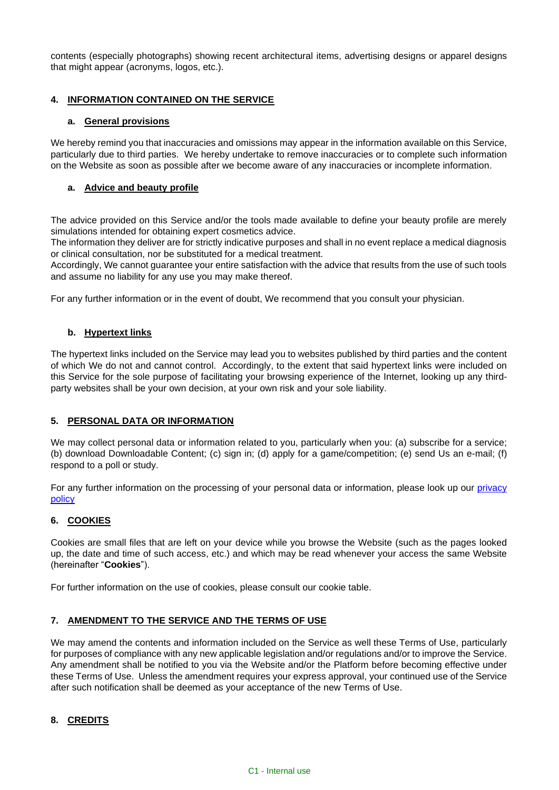contents (especially photographs) showing recent architectural items, advertising designs or apparel designs that might appear (acronyms, logos, etc.).

## **4. INFORMATION CONTAINED ON THE SERVICE**

## **a. General provisions**

We hereby remind you that inaccuracies and omissions may appear in the information available on this Service, particularly due to third parties. We hereby undertake to remove inaccuracies or to complete such information on the Website as soon as possible after we become aware of any inaccuracies or incomplete information.

## **a. Advice and beauty profile**

The advice provided on this Service and/or the tools made available to define your beauty profile are merely simulations intended for obtaining expert cosmetics advice.

The information they deliver are for strictly indicative purposes and shall in no event replace a medical diagnosis or clinical consultation, nor be substituted for a medical treatment.

Accordingly, We cannot guarantee your entire satisfaction with the advice that results from the use of such tools and assume no liability for any use you may make thereof.

For any further information or in the event of doubt, We recommend that you consult your physician.

## **b. Hypertext links**

The hypertext links included on the Service may lead you to websites published by third parties and the content of which We do not and cannot control. Accordingly, to the extent that said hypertext links were included on this Service for the sole purpose of facilitating your browsing experience of the Internet, looking up any thirdparty websites shall be your own decision, at your own risk and your sole liability.

## **5. PERSONAL DATA OR INFORMATION**

We may collect personal data or information related to you, particularly when you: (a) subscribe for a service; (b) download Downloadable Content; (c) sign in; (d) apply for a game/competition; (e) send Us an e-mail; (f) respond to a poll or study.

For any further information on the processing of your personal data or information, please look up our privacy [policy](https://www.loreal.com/en/new-zealand/pages/group/privacy-policy-new-zealand/)

## **6. COOKIES**

Cookies are small files that are left on your device while you browse the Website (such as the pages looked up, the date and time of such access, etc.) and which may be read whenever your access the same Website (hereinafter "**Cookies**").

For further information on the use of cookies, please consult our cookie table.

## **7. AMENDMENT TO THE SERVICE AND THE TERMS OF USE**

We may amend the contents and information included on the Service as well these Terms of Use, particularly for purposes of compliance with any new applicable legislation and/or regulations and/or to improve the Service. Any amendment shall be notified to you via the Website and/or the Platform before becoming effective under these Terms of Use. Unless the amendment requires your express approval, your continued use of the Service after such notification shall be deemed as your acceptance of the new Terms of Use.

### **8. CREDITS**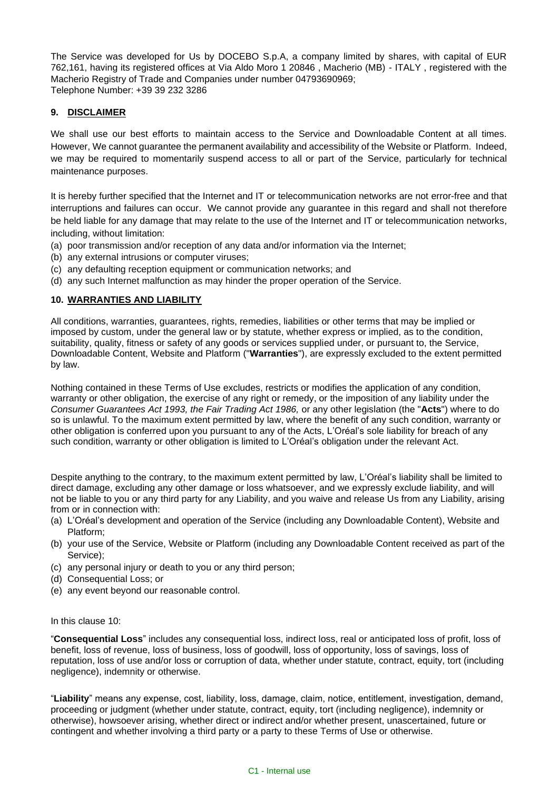The Service was developed for Us by DOCEBO S.p.A, a company limited by shares, with capital of EUR 762,161, having its registered offices at Via Aldo Moro 1 20846 , Macherio (MB) - ITALY , registered with the Macherio Registry of Trade and Companies under number 04793690969; Telephone Number: +39 39 232 3286

### **9. DISCLAIMER**

We shall use our best efforts to maintain access to the Service and Downloadable Content at all times. However, We cannot guarantee the permanent availability and accessibility of the Website or Platform. Indeed, we may be required to momentarily suspend access to all or part of the Service, particularly for technical maintenance purposes.

It is hereby further specified that the Internet and IT or telecommunication networks are not error-free and that interruptions and failures can occur. We cannot provide any guarantee in this regard and shall not therefore be held liable for any damage that may relate to the use of the Internet and IT or telecommunication networks, including, without limitation:

- (a) poor transmission and/or reception of any data and/or information via the Internet;
- (b) any external intrusions or computer viruses;
- (c) any defaulting reception equipment or communication networks; and
- (d) any such Internet malfunction as may hinder the proper operation of the Service.

## <span id="page-3-0"></span>**10. WARRANTIES AND LIABILITY**

All conditions, warranties, guarantees, rights, remedies, liabilities or other terms that may be implied or imposed by custom, under the general law or by statute, whether express or implied, as to the condition, suitability, quality, fitness or safety of any goods or services supplied under, or pursuant to, the Service, Downloadable Content, Website and Platform ("**Warranties**"), are expressly excluded to the extent permitted by law.

Nothing contained in these Terms of Use excludes, restricts or modifies the application of any condition, warranty or other obligation, the exercise of any right or remedy, or the imposition of any liability under the *Consumer Guarantees Act 1993, the Fair Trading Act 1986,* or any other legislation (the "**Acts**") where to do so is unlawful. To the maximum extent permitted by law, where the benefit of any such condition, warranty or other obligation is conferred upon you pursuant to any of the Acts, L'Oréal's sole liability for breach of any such condition, warranty or other obligation is limited to L'Oréal's obligation under the relevant Act.

Despite anything to the contrary, to the maximum extent permitted by law, L'Oréal's liability shall be limited to direct damage, excluding any other damage or loss whatsoever, and we expressly exclude liability, and will not be liable to you or any third party for any Liability, and you waive and release Us from any Liability, arising from or in connection with:

- (a) L'Oréal's development and operation of the Service (including any Downloadable Content), Website and Platform;
- (b) your use of the Service, Website or Platform (including any Downloadable Content received as part of the Service);
- (c) any personal injury or death to you or any third person;
- (d) Consequential Loss; or
- (e) any event beyond our reasonable control.

### In this clause [10:](#page-3-0)

"**Consequential Loss**" includes any consequential loss, indirect loss, real or anticipated loss of profit, loss of benefit, loss of revenue, loss of business, loss of goodwill, loss of opportunity, loss of savings, loss of reputation, loss of use and/or loss or corruption of data, whether under statute, contract, equity, tort (including negligence), indemnity or otherwise.

"**Liability**" means any expense, cost, liability, loss, damage, claim, notice, entitlement, investigation, demand, proceeding or judgment (whether under statute, contract, equity, tort (including negligence), indemnity or otherwise), howsoever arising, whether direct or indirect and/or whether present, unascertained, future or contingent and whether involving a third party or a party to these Terms of Use or otherwise.